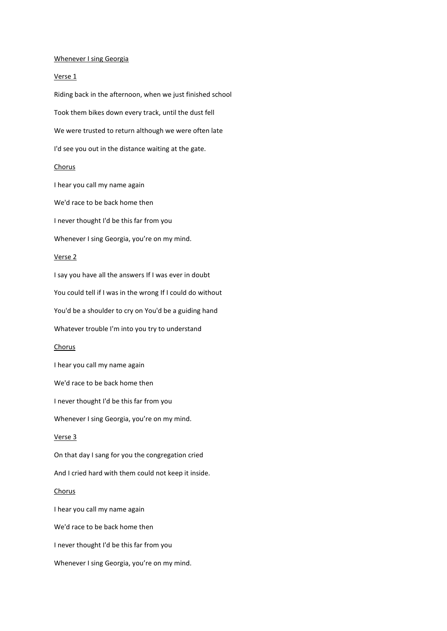#### Whenever I sing Georgia

## Verse 1

Riding back in the afternoon, when we just finished school Took them bikes down every track, until the dust fell We were trusted to return although we were often late I'd see you out in the distance waiting at the gate. Chorus I hear you call my name again We'd race to be back home then I never thought I'd be this far from you Whenever I sing Georgia, you're on my mind. Verse 2 I say you have all the answers If I was ever in doubt You could tell if I was in the wrong If I could do without You'd be a shoulder to cry on You'd be a guiding hand Whatever trouble I'm into you try to understand **Chorus** I hear you call my name again We'd race to be back home then I never thought I'd be this far from you Whenever I sing Georgia, you're on my mind. Verse 3 On that day I sang for you the congregation cried And I cried hard with them could not keep it inside. **Chorus** I hear you call my name again We'd race to be back home then I never thought I'd be this far from you Whenever I sing Georgia, you're on my mind.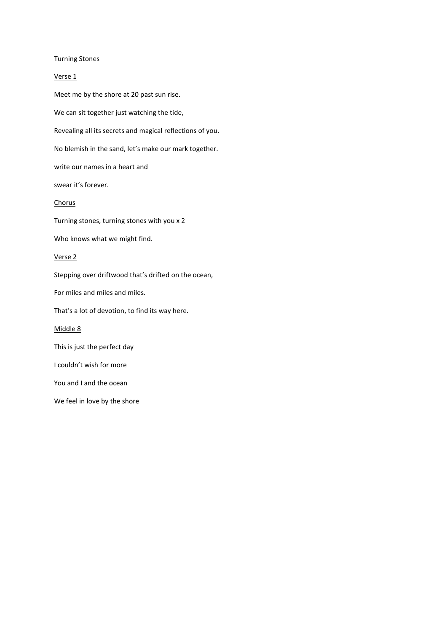#### Turning Stones

## Verse 1

Meet me by the shore at 20 past sun rise. We can sit together just watching the tide, Revealing all its secrets and magical reflections of you. No blemish in the sand, let's make our mark together. write our names in a heart and swear it's forever. **Chorus** Turning stones, turning stones with you x 2 Who knows what we might find. Verse 2 Stepping over driftwood that's drifted on the ocean, For miles and miles and miles. That's a lot of devotion, to find its way here. Middle 8 This is just the perfect day I couldn't wish for more You and I and the ocean We feel in love by the shore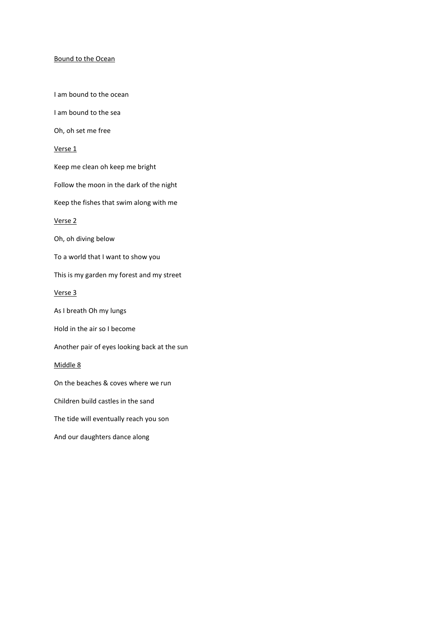## Bound to the Ocean

I am bound to the ocean

I am bound to the sea Oh, oh set me free Verse 1 Keep me clean oh keep me bright Follow the moon in the dark of the night Keep the fishes that swim along with me Verse 2 Oh, oh diving below To a world that I want to show you This is my garden my forest and my street Verse 3 As I breath Oh my lungs Hold in the air so I become Another pair of eyes looking back at the sun Middle 8 On the beaches & coves where we run Children build castles in the sand The tide will eventually reach you son And our daughters dance along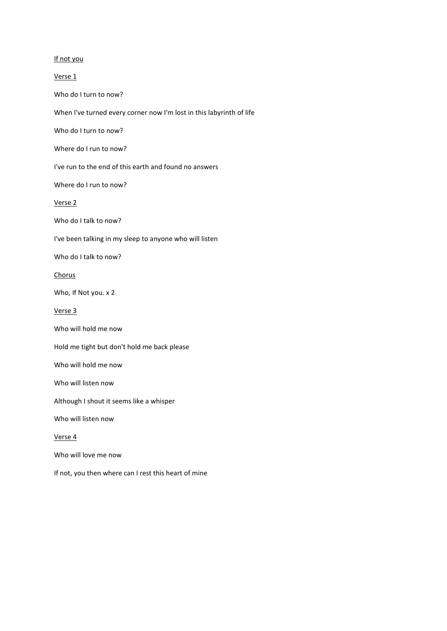| If not you                                                           |
|----------------------------------------------------------------------|
| <u>Verse 1</u>                                                       |
| Who do I turn to now?                                                |
| When I've turned every corner now I'm lost in this labyrinth of life |
| Who do I turn to now?                                                |
| Where do I run to now?                                               |
| I've run to the end of this earth and found no answers               |
| Where do I run to now?                                               |
| <u>Verse 2</u>                                                       |
| Who do I talk to now?                                                |
| I've been talking in my sleep to anyone who will listen              |
| Who do I talk to now?                                                |
| Chorus                                                               |
| Who, If Not you. x 2                                                 |
| <u>Verse 3</u>                                                       |
| Who will hold me now                                                 |
| Hold me tight but don't hold me back please                          |
| Who will hold me now                                                 |
| Who will listen now                                                  |
| Although I shout it seems like a whisper                             |
| Who will listen now                                                  |
| <u>Verse 4</u>                                                       |
| Who will love me now                                                 |
| If not, you then where can I rest this heart of mine                 |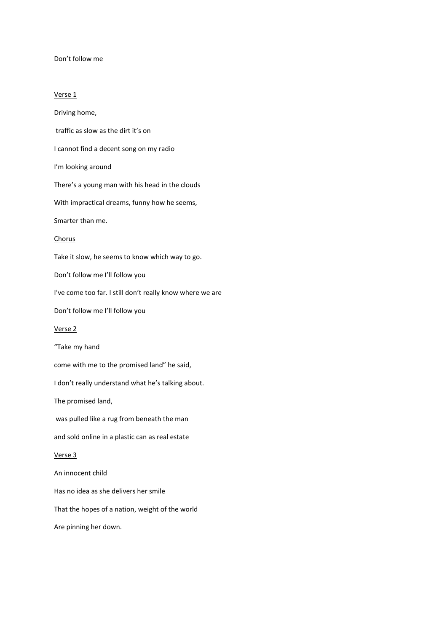## Don't follow me

Verse 1 Driving home, traffic as slow as the dirt it's on I cannot find a decent song on my radio I'm looking around There's a young man with his head in the clouds With impractical dreams, funny how he seems, Smarter than me. **Chorus** Take it slow, he seems to know which way to go. Don't follow me I'll follow you I've come too far. I still don't really know where we are Don't follow me I'll follow you Verse 2 "Take my hand come with me to the promised land" he said, I don't really understand what he's talking about. The promised land, was pulled like a rug from beneath the man and sold online in a plastic can as real estate Verse 3 An innocent child Has no idea as she delivers her smile That the hopes of a nation, weight of the world Are pinning her down.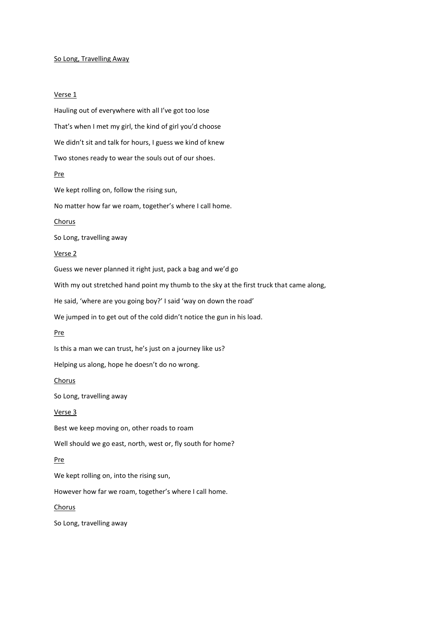## So Long, Travelling Away

# Verse 1

Hauling out of everywhere with all I've got too lose That's when I met my girl, the kind of girl you'd choose We didn't sit and talk for hours, I guess we kind of knew Two stones ready to wear the souls out of our shoes. Pre We kept rolling on, follow the rising sun, No matter how far we roam, together's where I call home. **Chorus** So Long, travelling away Verse 2 Guess we never planned it right just, pack a bag and we'd go With my out stretched hand point my thumb to the sky at the first truck that came along, He said, 'where are you going boy?' I said 'way on down the road' We jumped in to get out of the cold didn't notice the gun in his load. Pre Is this a man we can trust, he's just on a journey like us? Helping us along, hope he doesn't do no wrong. Chorus So Long, travelling away Verse 3 Best we keep moving on, other roads to roam Well should we go east, north, west or, fly south for home? Pre We kept rolling on, into the rising sun, However how far we roam, together's where I call home. Chorus So Long, travelling away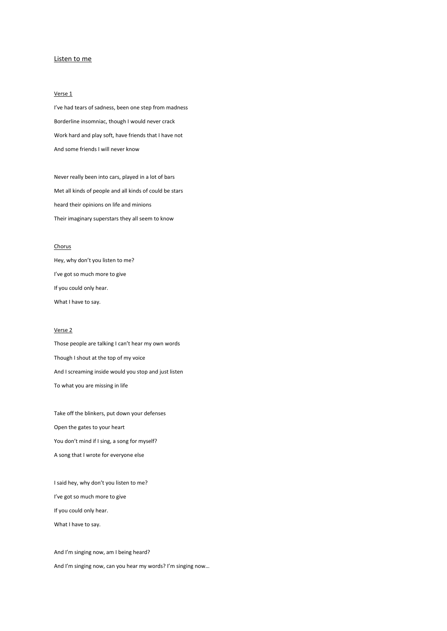## Listen to me

#### Verse 1

I've had tears of sadness, been one step from madness Borderline insomniac, though I would never crack Work hard and play soft, have friends that I have not And some friends I will never know

Never really been into cars, played in a lot of bars Met all kinds of people and all kinds of could be stars heard their opinions on life and minions Their imaginary superstars they all seem to know

## Chorus

Hey, why don't you listen to me? I've got so much more to give If you could only hear. What I have to say.

#### Verse 2

Those people are talking I can't hear my own words Though I shout at the top of my voice And I screaming inside would you stop and just listen To what you are missing in life

Take off the blinkers, put down your defenses Open the gates to your heart You don't mind if I sing, a song for myself? A song that I wrote for everyone else

I said hey, why don't you listen to me?

I've got so much more to give

If you could only hear.

What I have to say.

And I'm singing now, am I being heard?

And I'm singing now, can you hear my words? I'm singing now…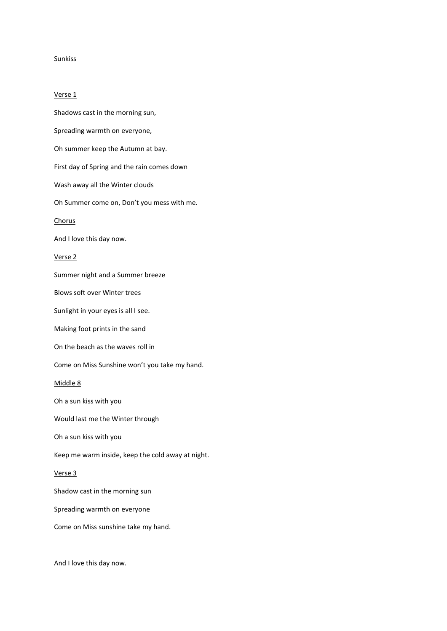## **Sunkiss**

Verse 1 Shadows cast in the morning sun, Spreading warmth on everyone, Oh summer keep the Autumn at bay. First day of Spring and the rain comes down Wash away all the Winter clouds Oh Summer come on, Don't you mess with me. **Chorus** And I love this day now. Verse 2 Summer night and a Summer breeze Blows soft over Winter trees Sunlight in your eyes is all I see. Making foot prints in the sand On the beach as the waves roll in Come on Miss Sunshine won't you take my hand. Middle 8 Oh a sun kiss with you Would last me the Winter through Oh a sun kiss with you Keep me warm inside, keep the cold away at night. Verse 3 Shadow cast in the morning sun Spreading warmth on everyone Come on Miss sunshine take my hand.

And I love this day now.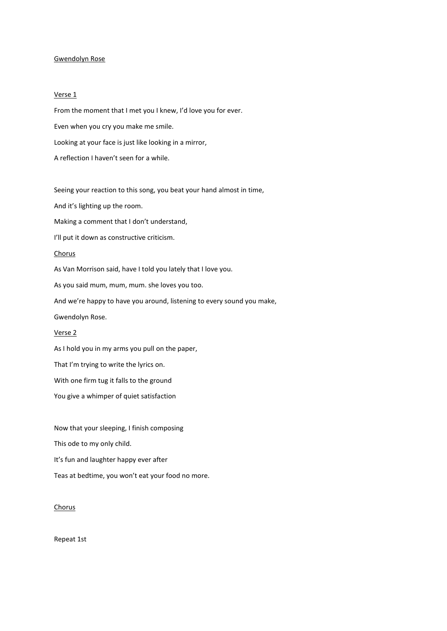## Gwendolyn Rose

# Verse 1

From the moment that I met you I knew, I'd love you for ever. Even when you cry you make me smile. Looking at your face is just like looking in a mirror, A reflection I haven't seen for a while.

Seeing your reaction to this song, you beat your hand almost in time, And it's lighting up the room. Making a comment that I don't understand, I'll put it down as constructive criticism. Chorus As Van Morrison said, have I told you lately that I love you. As you said mum, mum, mum. she loves you too. And we're happy to have you around, listening to every sound you make, Gwendolyn Rose. Verse 2 As I hold you in my arms you pull on the paper, That I'm trying to write the lyrics on. With one firm tug it falls to the ground You give a whimper of quiet satisfaction

Now that your sleeping, I finish composing This ode to my only child. It's fun and laughter happy ever after Teas at bedtime, you won't eat your food no more.

# Chorus

Repeat 1st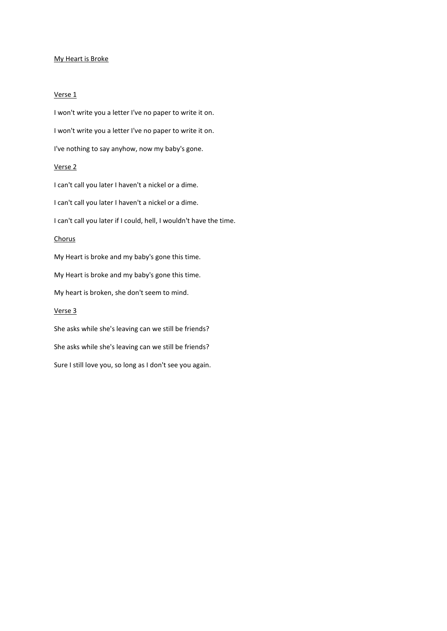## My Heart is Broke

# Verse 1

I won't write you a letter I've no paper to write it on. I won't write you a letter I've no paper to write it on. I've nothing to say anyhow, now my baby's gone. Verse 2 I can't call you later I haven't a nickel or a dime. I can't call you later I haven't a nickel or a dime. I can't call you later if I could, hell, I wouldn't have the time. **Chorus** My Heart is broke and my baby's gone this time. My Heart is broke and my baby's gone this time. My heart is broken, she don't seem to mind. Verse 3 She asks while she's leaving can we still be friends? She asks while she's leaving can we still be friends?

Sure I still love you, so long as I don't see you again.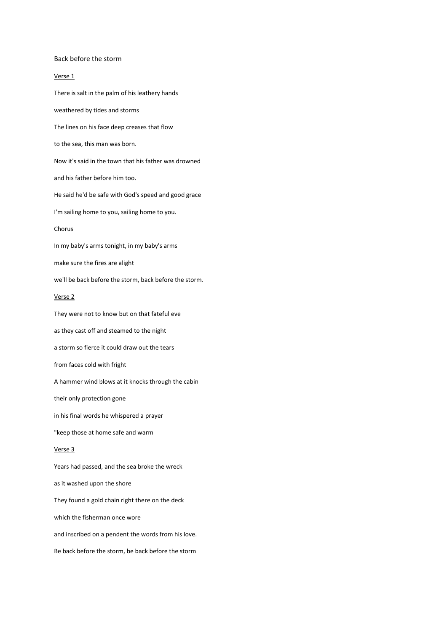#### Back before the storm

# Verse 1 There is salt in the palm of his leathery hands weathered by tides and storms The lines on his face deep creases that flow to the sea, this man was born. Now it's said in the town that his father was drowned and his father before him too. He said he'd be safe with God's speed and good grace I'm sailing home to you, sailing home to you. **Chorus** In my baby's arms tonight, in my baby's arms make sure the fires are alight we'll be back before the storm, back before the storm. Verse 2 They were not to know but on that fateful eve as they cast off and steamed to the night a storm so fierce it could draw out the tears from faces cold with fright A hammer wind blows at it knocks through the cabin their only protection gone in his final words he whispered a prayer "keep those at home safe and warm Verse 3 Years had passed, and the sea broke the wreck as it washed upon the shore They found a gold chain right there on the deck which the fisherman once wore and inscribed on a pendent the words from his love. Be back before the storm, be back before the storm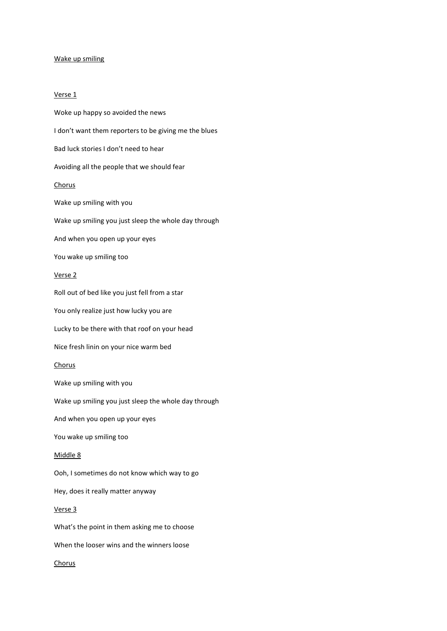## Wake up smiling

Verse 1 Woke up happy so avoided the news I don't want them reporters to be giving me the blues Bad luck stories I don't need to hear Avoiding all the people that we should fear **Chorus** Wake up smiling with you Wake up smiling you just sleep the whole day through And when you open up your eyes You wake up smiling too Verse 2 Roll out of bed like you just fell from a star You only realize just how lucky you are Lucky to be there with that roof on your head Nice fresh linin on your nice warm bed **Chorus** Wake up smiling with you Wake up smiling you just sleep the whole day through And when you open up your eyes You wake up smiling too Middle 8 Ooh, I sometimes do not know which way to go Hey, does it really matter anyway Verse 3 What's the point in them asking me to choose When the looser wins and the winners loose Chorus